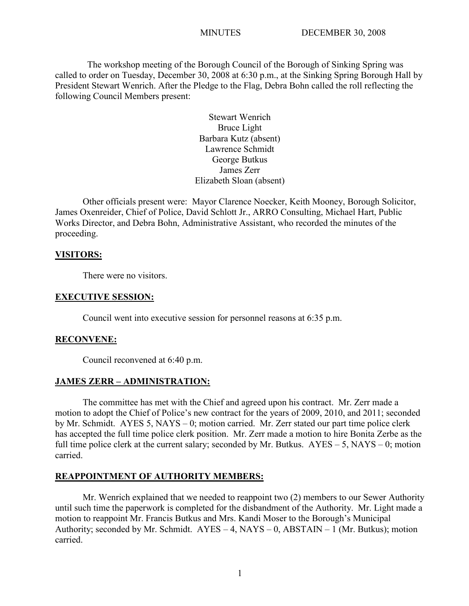The workshop meeting of the Borough Council of the Borough of Sinking Spring was called to order on Tuesday, December 30, 2008 at 6:30 p.m., at the Sinking Spring Borough Hall by President Stewart Wenrich. After the Pledge to the Flag, Debra Bohn called the roll reflecting the following Council Members present:

> Stewart Wenrich Bruce Light Barbara Kutz (absent) Lawrence Schmidt George Butkus James Zerr Elizabeth Sloan (absent)

Other officials present were: Mayor Clarence Noecker, Keith Mooney, Borough Solicitor, James Oxenreider, Chief of Police, David Schlott Jr., ARRO Consulting, Michael Hart, Public Works Director, and Debra Bohn, Administrative Assistant, who recorded the minutes of the proceeding.

#### **VISITORS:**

There were no visitors.

#### **EXECUTIVE SESSION:**

Council went into executive session for personnel reasons at 6:35 p.m.

#### **RECONVENE:**

Council reconvened at 6:40 p.m.

#### **JAMES ZERR – ADMINISTRATION:**

The committee has met with the Chief and agreed upon his contract. Mr. Zerr made a motion to adopt the Chief of Police's new contract for the years of 2009, 2010, and 2011; seconded by Mr. Schmidt. AYES 5, NAYS – 0; motion carried. Mr. Zerr stated our part time police clerk has accepted the full time police clerk position. Mr. Zerr made a motion to hire Bonita Zerbe as the full time police clerk at the current salary; seconded by Mr. Butkus. AYES – 5, NAYS – 0; motion carried.

#### **REAPPOINTMENT OF AUTHORITY MEMBERS:**

Mr. Wenrich explained that we needed to reappoint two (2) members to our Sewer Authority until such time the paperwork is completed for the disbandment of the Authority. Mr. Light made a motion to reappoint Mr. Francis Butkus and Mrs. Kandi Moser to the Borough's Municipal Authority; seconded by Mr. Schmidt.  $AYES - 4$ ,  $NAYS - 0$ ,  $ABSTAIN - 1$  (Mr. Butkus); motion carried.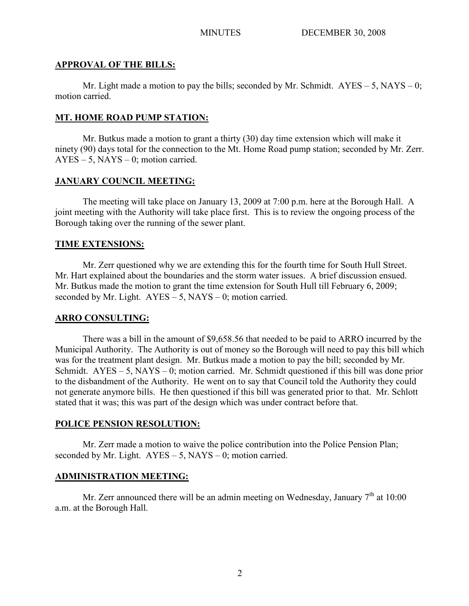#### **APPROVAL OF THE BILLS:**

Mr. Light made a motion to pay the bills; seconded by Mr. Schmidt.  $AYES - 5$ ,  $NAYS - 0$ ; motion carried.

## **MT. HOME ROAD PUMP STATION:**

Mr. Butkus made a motion to grant a thirty (30) day time extension which will make it ninety (90) days total for the connection to the Mt. Home Road pump station; seconded by Mr. Zerr.  $AYES - 5$ ,  $NAYS - 0$ ; motion carried.

#### **JANUARY COUNCIL MEETING:**

The meeting will take place on January 13, 2009 at 7:00 p.m. here at the Borough Hall. A joint meeting with the Authority will take place first. This is to review the ongoing process of the Borough taking over the running of the sewer plant.

#### **TIME EXTENSIONS:**

Mr. Zerr questioned why we are extending this for the fourth time for South Hull Street. Mr. Hart explained about the boundaries and the storm water issues. A brief discussion ensued. Mr. Butkus made the motion to grant the time extension for South Hull till February 6, 2009; seconded by Mr. Light.  $AYES - 5$ ,  $NAYS - 0$ ; motion carried.

## **ARRO CONSULTING:**

There was a bill in the amount of \$9,658.56 that needed to be paid to ARRO incurred by the Municipal Authority. The Authority is out of money so the Borough will need to pay this bill which was for the treatment plant design. Mr. Butkus made a motion to pay the bill; seconded by Mr. Schmidt. AYES – 5, NAYS – 0; motion carried. Mr. Schmidt questioned if this bill was done prior to the disbandment of the Authority. He went on to say that Council told the Authority they could not generate anymore bills. He then questioned if this bill was generated prior to that. Mr. Schlott stated that it was; this was part of the design which was under contract before that.

#### **POLICE PENSION RESOLUTION:**

Mr. Zerr made a motion to waive the police contribution into the Police Pension Plan; seconded by Mr. Light.  $AYES - 5$ ,  $NAYS - 0$ ; motion carried.

## **ADMINISTRATION MEETING:**

Mr. Zerr announced there will be an admin meeting on Wednesday, January  $7<sup>th</sup>$  at 10:00 a.m. at the Borough Hall.